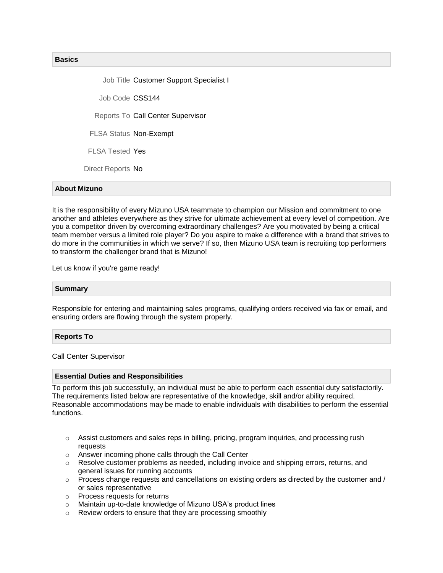## **Basics**

Job Title Customer Support Specialist I

Job Code CSS144

Reports To Call Center Supervisor

FLSA Status Non-Exempt

FLSA Tested Yes

Direct Reports No

## **About Mizuno**

It is the responsibility of every Mizuno USA teammate to champion our Mission and commitment to one another and athletes everywhere as they strive for ultimate achievement at every level of competition. Are you a competitor driven by overcoming extraordinary challenges? Are you motivated by being a critical team member versus a limited role player? Do you aspire to make a difference with a brand that strives to do more in the communities in which we serve? If so, then Mizuno USA team is recruiting top performers to transform the challenger brand that is Mizuno!

Let us know if you're game ready!

### **Summary**

Responsible for entering and maintaining sales programs, qualifying orders received via fax or email, and ensuring orders are flowing through the system properly.

### **Reports To**

Call Center Supervisor

#### **Essential Duties and Responsibilities**

To perform this job successfully, an individual must be able to perform each essential duty satisfactorily. The requirements listed below are representative of the knowledge, skill and/or ability required. Reasonable accommodations may be made to enable individuals with disabilities to perform the essential functions.

- $\circ$  Assist customers and sales reps in billing, pricing, program inquiries, and processing rush requests
- o Answer incoming phone calls through the Call Center
- $\circ$  Resolve customer problems as needed, including invoice and shipping errors, returns, and general issues for running accounts
- $\circ$  Process change requests and cancellations on existing orders as directed by the customer and / or sales representative
- o Process requests for returns
- o Maintain up-to-date knowledge of Mizuno USA's product lines
- o Review orders to ensure that they are processing smoothly